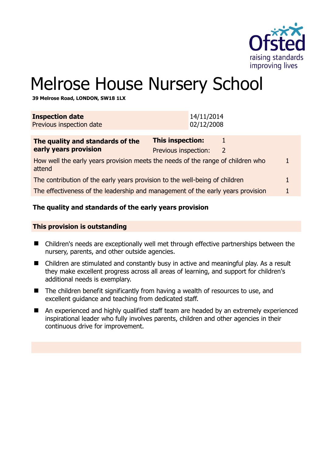

# Melrose House Nursery School

**39 Melrose Road, LONDON, SW18 1LX** 

| <b>Inspection date</b><br>Previous inspection date                                        | 14/11/2014<br>02/12/2008                        |                    |  |  |
|-------------------------------------------------------------------------------------------|-------------------------------------------------|--------------------|--|--|
| The quality and standards of the<br>early years provision                                 | <b>This inspection:</b><br>Previous inspection: | 1<br>$\mathcal{L}$ |  |  |
| How well the early years provision meets the needs of the range of children who<br>attend |                                                 |                    |  |  |
| The contribution of the early years provision to the well-being of children               |                                                 |                    |  |  |
| The effectiveness of the leadership and management of the early years provision           |                                                 |                    |  |  |
|                                                                                           |                                                 |                    |  |  |

### **The quality and standards of the early years provision**

#### **This provision is outstanding**

- Children's needs are exceptionally well met through effective partnerships between the nursery, parents, and other outside agencies.
- Children are stimulated and constantly busy in active and meaningful play. As a result they make excellent progress across all areas of learning, and support for children's additional needs is exemplary.
- The children benefit significantly from having a wealth of resources to use, and excellent guidance and teaching from dedicated staff.
- An experienced and highly qualified staff team are headed by an extremely experienced inspirational leader who fully involves parents, children and other agencies in their continuous drive for improvement.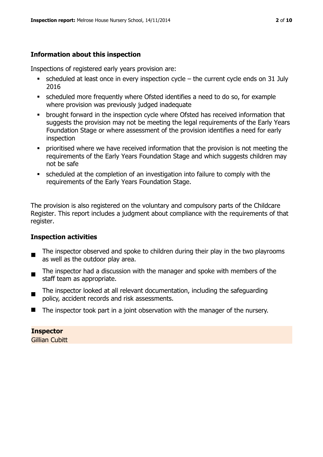# **Information about this inspection**

Inspections of registered early years provision are:

- $\blacksquare$  scheduled at least once in every inspection cycle the current cycle ends on 31 July 2016
- scheduled more frequently where Ofsted identifies a need to do so, for example where provision was previously judged inadequate
- **•** brought forward in the inspection cycle where Ofsted has received information that suggests the provision may not be meeting the legal requirements of the Early Years Foundation Stage or where assessment of the provision identifies a need for early inspection
- **•** prioritised where we have received information that the provision is not meeting the requirements of the Early Years Foundation Stage and which suggests children may not be safe
- scheduled at the completion of an investigation into failure to comply with the requirements of the Early Years Foundation Stage.

The provision is also registered on the voluntary and compulsory parts of the Childcare Register. This report includes a judgment about compliance with the requirements of that register.

# **Inspection activities**

- п The inspector observed and spoke to children during their play in the two playrooms as well as the outdoor play area.
- The inspector had a discussion with the manager and spoke with members of the staff team as appropriate.
- The inspector looked at all relevant documentation, including the safeguarding policy, accident records and risk assessments.
- $\blacksquare$  The inspector took part in a joint observation with the manager of the nursery.

#### **Inspector**

Gillian Cubitt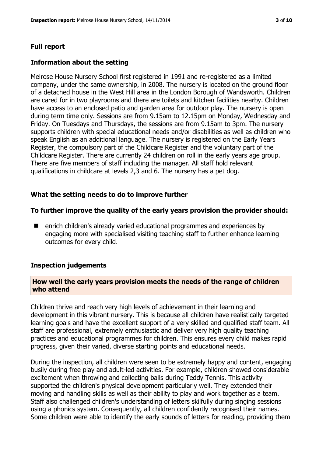#### **Full report**

#### **Information about the setting**

Melrose House Nursery School first registered in 1991 and re-registered as a limited company, under the same ownership, in 2008. The nursery is located on the ground floor of a detached house in the West Hill area in the London Borough of Wandsworth. Children are cared for in two playrooms and there are toilets and kitchen facilities nearby. Children have access to an enclosed patio and garden area for outdoor play. The nursery is open during term time only. Sessions are from 9.15am to 12.15pm on Monday, Wednesday and Friday. On Tuesdays and Thursdays, the sessions are from 9.15am to 3pm. The nursery supports children with special educational needs and/or disabilities as well as children who speak English as an additional language. The nursery is registered on the Early Years Register, the compulsory part of the Childcare Register and the voluntary part of the Childcare Register. There are currently 24 children on roll in the early years age group. There are five members of staff including the manager. All staff hold relevant qualifications in childcare at levels 2,3 and 6. The nursery has a pet dog.

#### **What the setting needs to do to improve further**

#### **To further improve the quality of the early years provision the provider should:**

**E** enrich children's already varied educational programmes and experiences by engaging more with specialised visiting teaching staff to further enhance learning outcomes for every child.

#### **Inspection judgements**

#### **How well the early years provision meets the needs of the range of children who attend**

Children thrive and reach very high levels of achievement in their learning and development in this vibrant nursery. This is because all children have realistically targeted learning goals and have the excellent support of a very skilled and qualified staff team. All staff are professional, extremely enthusiastic and deliver very high quality teaching practices and educational programmes for children. This ensures every child makes rapid progress, given their varied, diverse starting points and educational needs.

During the inspection, all children were seen to be extremely happy and content, engaging busily during free play and adult-led activities. For example, children showed considerable excitement when throwing and collecting balls during Teddy Tennis. This activity supported the children's physical development particularly well. They extended their moving and handling skills as well as their ability to play and work together as a team. Staff also challenged children's understanding of letters skilfully during singing sessions using a phonics system. Consequently, all children confidently recognised their names. Some children were able to identify the early sounds of letters for reading, providing them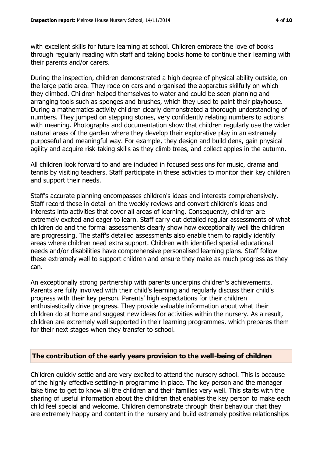with excellent skills for future learning at school. Children embrace the love of books through regularly reading with staff and taking books home to continue their learning with their parents and/or carers.

During the inspection, children demonstrated a high degree of physical ability outside, on the large patio area. They rode on cars and organised the apparatus skilfully on which they climbed. Children helped themselves to water and could be seen planning and arranging tools such as sponges and brushes, which they used to paint their playhouse. During a mathematics activity children clearly demonstrated a thorough understanding of numbers. They jumped on stepping stones, very confidently relating numbers to actions with meaning. Photographs and documentation show that children regularly use the wider natural areas of the garden where they develop their explorative play in an extremely purposeful and meaningful way. For example, they design and build dens, gain physical agility and acquire risk-taking skills as they climb trees, and collect apples in the autumn.

All children look forward to and are included in focused sessions for music, drama and tennis by visiting teachers. Staff participate in these activities to monitor their key children and support their needs.

Staff's accurate planning encompasses children's ideas and interests comprehensively. Staff record these in detail on the weekly reviews and convert children's ideas and interests into activities that cover all areas of learning. Consequently, children are extremely excited and eager to learn. Staff carry out detailed regular assessments of what children do and the formal assessments clearly show how exceptionally well the children are progressing. The staff's detailed assessments also enable them to rapidly identify areas where children need extra support. Children with identified special educational needs and/or disabilities have comprehensive personalised learning plans. Staff follow these extremely well to support children and ensure they make as much progress as they can.

An exceptionally strong partnership with parents underpins children's achievements. Parents are fully involved with their child's learning and regularly discuss their child's progress with their key person. Parents' high expectations for their children enthusiastically drive progress. They provide valuable information about what their children do at home and suggest new ideas for activities within the nursery. As a result, children are extremely well supported in their learning programmes, which prepares them for their next stages when they transfer to school.

#### **The contribution of the early years provision to the well-being of children**

Children quickly settle and are very excited to attend the nursery school. This is because of the highly effective settling-in programme in place. The key person and the manager take time to get to know all the children and their families very well. This starts with the sharing of useful information about the children that enables the key person to make each child feel special and welcome. Children demonstrate through their behaviour that they are extremely happy and content in the nursery and build extremely positive relationships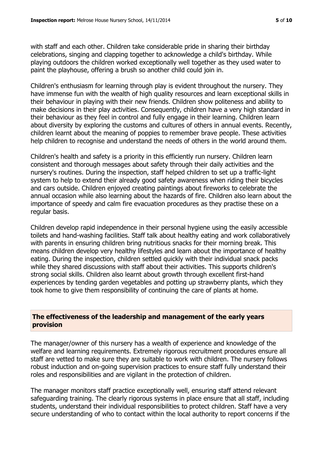with staff and each other. Children take considerable pride in sharing their birthday celebrations, singing and clapping together to acknowledge a child's birthday. While playing outdoors the children worked exceptionally well together as they used water to paint the playhouse, offering a brush so another child could join in.

Children's enthusiasm for learning through play is evident throughout the nursery. They have immense fun with the wealth of high quality resources and learn exceptional skills in their behaviour in playing with their new friends. Children show politeness and ability to make decisions in their play activities. Consequently, children have a very high standard in their behaviour as they feel in control and fully engage in their learning. Children learn about diversity by exploring the customs and cultures of others in annual events. Recently, children learnt about the meaning of poppies to remember brave people. These activities help children to recognise and understand the needs of others in the world around them.

Children's health and safety is a priority in this efficiently run nursery. Children learn consistent and thorough messages about safety through their daily activities and the nursery's routines. During the inspection, staff helped children to set up a traffic-light system to help to extend their already good safety awareness when riding their bicycles and cars outside. Children enjoyed creating paintings about fireworks to celebrate the annual occasion while also learning about the hazards of fire. Children also learn about the importance of speedy and calm fire evacuation procedures as they practise these on a regular basis.

Children develop rapid independence in their personal hygiene using the easily accessible toilets and hand-washing facilities. Staff talk about healthy eating and work collaboratively with parents in ensuring children bring nutritious snacks for their morning break. This means children develop very healthy lifestyles and learn about the importance of healthy eating. During the inspection, children settled quickly with their individual snack packs while they shared discussions with staff about their activities. This supports children's strong social skills. Children also learnt about growth through excellent first-hand experiences by tending garden vegetables and potting up strawberry plants, which they took home to give them responsibility of continuing the care of plants at home.

# **The effectiveness of the leadership and management of the early years provision**

The manager/owner of this nursery has a wealth of experience and knowledge of the welfare and learning requirements. Extremely rigorous recruitment procedures ensure all staff are vetted to make sure they are suitable to work with children. The nursery follows robust induction and on-going supervision practices to ensure staff fully understand their roles and responsibilities and are vigilant in the protection of children.

The manager monitors staff practice exceptionally well, ensuring staff attend relevant safeguarding training. The clearly rigorous systems in place ensure that all staff, including students, understand their individual responsibilities to protect children. Staff have a very secure understanding of who to contact within the local authority to report concerns if the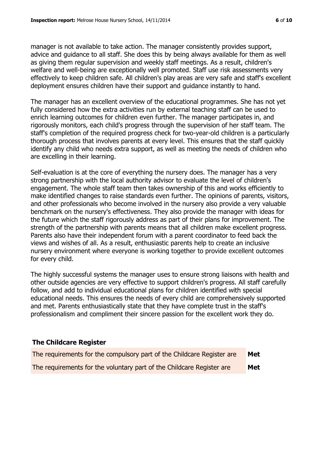manager is not available to take action. The manager consistently provides support, advice and guidance to all staff. She does this by being always available for them as well as giving them regular supervision and weekly staff meetings. As a result, children's welfare and well-being are exceptionally well promoted. Staff use risk assessments very effectively to keep children safe. All children's play areas are very safe and staff's excellent deployment ensures children have their support and guidance instantly to hand.

The manager has an excellent overview of the educational programmes. She has not yet fully considered how the extra activities run by external teaching staff can be used to enrich learning outcomes for children even further. The manager participates in, and rigorously monitors, each child's progress through the supervision of her staff team. The staff's completion of the required progress check for two-year-old children is a particularly thorough process that involves parents at every level. This ensures that the staff quickly identify any child who needs extra support, as well as meeting the needs of children who are excelling in their learning.

Self-evaluation is at the core of everything the nursery does. The manager has a very strong partnership with the local authority advisor to evaluate the level of children's engagement. The whole staff team then takes ownership of this and works efficiently to make identified changes to raise standards even further. The opinions of parents, visitors, and other professionals who become involved in the nursery also provide a very valuable benchmark on the nursery's effectiveness. They also provide the manager with ideas for the future which the staff rigorously address as part of their plans for improvement. The strength of the partnership with parents means that all children make excellent progress. Parents also have their independent forum with a parent coordinator to feed back the views and wishes of all. As a result, enthusiastic parents help to create an inclusive nursery environment where everyone is working together to provide excellent outcomes for every child.

The highly successful systems the manager uses to ensure strong liaisons with health and other outside agencies are very effective to support children's progress. All staff carefully follow, and add to individual educational plans for children identified with special educational needs. This ensures the needs of every child are comprehensively supported and met. Parents enthusiastically state that they have complete trust in the staff's professionalism and compliment their sincere passion for the excellent work they do.

# **The Childcare Register**

| The requirements for the compulsory part of the Childcare Register are | Met |
|------------------------------------------------------------------------|-----|
| The requirements for the voluntary part of the Childcare Register are  | Met |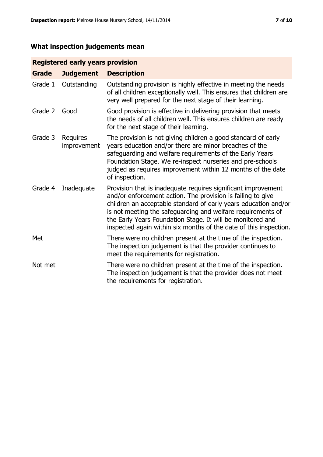# **What inspection judgements mean**

# **Registered early years provision**

| <b>Grade</b> | <b>Judgement</b>        | <b>Description</b>                                                                                                                                                                                                                                                                                                                                                                                |
|--------------|-------------------------|---------------------------------------------------------------------------------------------------------------------------------------------------------------------------------------------------------------------------------------------------------------------------------------------------------------------------------------------------------------------------------------------------|
| Grade 1      | Outstanding             | Outstanding provision is highly effective in meeting the needs<br>of all children exceptionally well. This ensures that children are<br>very well prepared for the next stage of their learning.                                                                                                                                                                                                  |
| Grade 2      | Good                    | Good provision is effective in delivering provision that meets<br>the needs of all children well. This ensures children are ready<br>for the next stage of their learning.                                                                                                                                                                                                                        |
| Grade 3      | Requires<br>improvement | The provision is not giving children a good standard of early<br>years education and/or there are minor breaches of the<br>safeguarding and welfare requirements of the Early Years<br>Foundation Stage. We re-inspect nurseries and pre-schools<br>judged as requires improvement within 12 months of the date<br>of inspection.                                                                 |
| Grade 4      | Inadequate              | Provision that is inadequate requires significant improvement<br>and/or enforcement action. The provision is failing to give<br>children an acceptable standard of early years education and/or<br>is not meeting the safeguarding and welfare requirements of<br>the Early Years Foundation Stage. It will be monitored and<br>inspected again within six months of the date of this inspection. |
| Met          |                         | There were no children present at the time of the inspection.<br>The inspection judgement is that the provider continues to<br>meet the requirements for registration.                                                                                                                                                                                                                            |
| Not met      |                         | There were no children present at the time of the inspection.<br>The inspection judgement is that the provider does not meet<br>the requirements for registration.                                                                                                                                                                                                                                |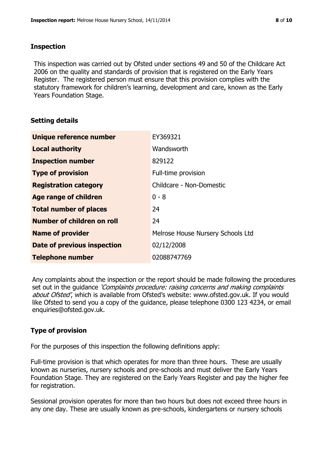## **Inspection**

This inspection was carried out by Ofsted under sections 49 and 50 of the Childcare Act 2006 on the quality and standards of provision that is registered on the Early Years Register. The registered person must ensure that this provision complies with the statutory framework for children's learning, development and care, known as the Early Years Foundation Stage.

# **Setting details**

| Unique reference number           | EY369321                          |
|-----------------------------------|-----------------------------------|
| <b>Local authority</b>            | Wandsworth                        |
| <b>Inspection number</b>          | 829122                            |
| <b>Type of provision</b>          | Full-time provision               |
| <b>Registration category</b>      | Childcare - Non-Domestic          |
| Age range of children             | $0 - 8$                           |
| <b>Total number of places</b>     | 24                                |
| <b>Number of children on roll</b> | 24                                |
| <b>Name of provider</b>           | Melrose House Nursery Schools Ltd |
| Date of previous inspection       | 02/12/2008                        |
| <b>Telephone number</b>           | 02088747769                       |

Any complaints about the inspection or the report should be made following the procedures set out in the guidance *'Complaints procedure: raising concerns and making complaints* about Ofsted', which is available from Ofsted's website: www.ofsted.gov.uk. If you would like Ofsted to send you a copy of the guidance, please telephone 0300 123 4234, or email enquiries@ofsted.gov.uk.

# **Type of provision**

For the purposes of this inspection the following definitions apply:

Full-time provision is that which operates for more than three hours. These are usually known as nurseries, nursery schools and pre-schools and must deliver the Early Years Foundation Stage. They are registered on the Early Years Register and pay the higher fee for registration.

Sessional provision operates for more than two hours but does not exceed three hours in any one day. These are usually known as pre-schools, kindergartens or nursery schools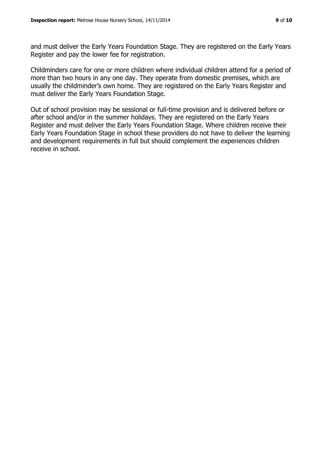and must deliver the Early Years Foundation Stage. They are registered on the Early Years Register and pay the lower fee for registration.

Childminders care for one or more children where individual children attend for a period of more than two hours in any one day. They operate from domestic premises, which are usually the childminder's own home. They are registered on the Early Years Register and must deliver the Early Years Foundation Stage.

Out of school provision may be sessional or full-time provision and is delivered before or after school and/or in the summer holidays. They are registered on the Early Years Register and must deliver the Early Years Foundation Stage. Where children receive their Early Years Foundation Stage in school these providers do not have to deliver the learning and development requirements in full but should complement the experiences children receive in school.